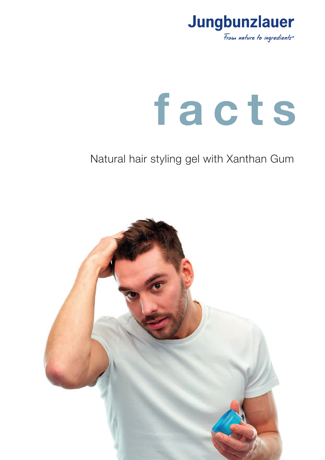

# **f a c t s**

# Natural hair styling gel with Xanthan Gum

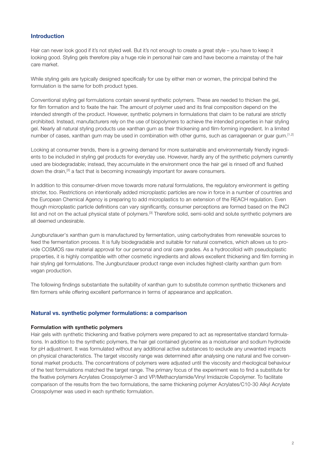# **Introduction**

Hair can never look good if it's not styled well. But it's not enough to create a great style – you have to keep it looking good. Styling gels therefore play a huge role in personal hair care and have become a mainstay of the hair care market.

While styling gels are typically designed specifically for use by either men or women, the principal behind the formulation is the same for both product types.

Conventional styling gel formulations contain several synthetic polymers. These are needed to thicken the gel, for film formation and to fixate the hair. The amount of polymer used and its final composition depend on the intended strength of the product. However, synthetic polymers in formulations that claim to be natural are strictly prohibited. Instead, manufacturers rely on the use of biopolymers to achieve the intended properties in hair styling gel. Nearly all natural styling products use xanthan gum as their thickening and film-forming ingredient. In a limited number of cases, xanthan gum may be used in combination with other gums, such as carrageenan or guar gum. [1,2]

Looking at consumer trends, there is a growing demand for more sustainable and environmentally friendly ingredients to be included in styling gel products for everyday use. However, hardly any of the synthetic polymers currently used are biodegradable; instead, they accumulate in the environment once the hair gel is rinsed off and flushed down the drain,<sup>[3]</sup> a fact that is becoming increasingly important for aware consumers.

In addition to this consumer-driven move towards more natural formulations, the regulatory environment is getting stricter, too. Restrictions on intentionally added microplastic particles are now in force in a number of countries and the European Chemical Agency is preparing to add microplastics to an extension of the REACH regulation. Even though microplastic particle definitions can vary significantly, consumer perceptions are formed based on the INCI list and not on the actual physical state of polymers.<sup>[3]</sup> Therefore solid, semi-solid and solute synthetic polymers are all deemed undesirable.

Jungbunzlauer's xanthan gum is manufactured by fermentation, using carbohydrates from renewable sources to feed the fermentation process. It is fully biodegradable and suitable for natural cosmetics, which allows us to provide COSMOS raw material approval for our personal and oral care grades. As a hydrocolloid with pseudoplastic properties, it is highly compatible with other cosmetic ingredients and allows excellent thickening and film forming in hair styling gel formulations. The Jungbunzlauer product range even includes highest-clarity xanthan gum from vegan production.

The following findings substantiate the suitability of xanthan gum to substitute common synthetic thickeners and film formers while offering excellent performance in terms of appearance and application.

#### **Natural vs. synthetic polymer formulations: a comparison**

#### **Formulation with synthetic polymers**

Hair gels with synthetic thickening and fixative polymers were prepared to act as representative standard formulations. In addition to the synthetic polymers, the hair gel contained glycerine as a moisturiser and sodium hydroxide for pH adjustment. It was formulated without any additional active substances to exclude any unwanted impacts on physical characteristics. The target viscosity range was determined after analysing one natural and five conventional market products. The concentrations of polymers were adjusted until the viscosity and rheological behaviour of the test formulations matched the target range. The primary focus of the experiment was to find a substitute for the fixative polymers Acrylates Crosspolymer-3 and VP/Methacrylamide/Vinyl Imidazole Copolymer. To facilitate comparison of the results from the two formulations, the same thickening polymer Acrylates/C10-30 Alkyl Acrylate Crosspolymer was used in each synthetic formulation.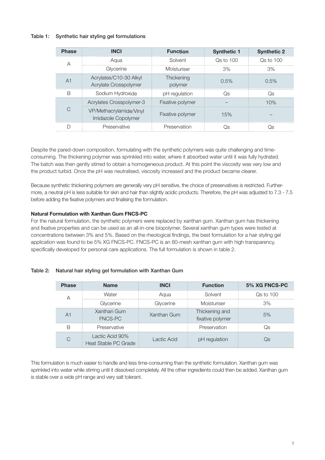# Table 1: Synthetic hair styling gel formulations

| <b>Phase</b>   | <b>INCI</b>                                    | <b>Function</b>  | <b>Synthetic 1</b> | <b>Synthetic 2</b> |
|----------------|------------------------------------------------|------------------|--------------------|--------------------|
| A              | Aqua                                           | Solvent          | Qs to 100          | $Os$ to $100$      |
|                | Glycerine                                      | Moisturiser      | 3%                 | 3%                 |
| A <sub>1</sub> | Acrylates/C10-30 Alkyl                         | Thickening       | 0.5%               | 0.5%               |
|                | Acrylate Crosspolymer                          | polymer          |                    |                    |
| B              | Sodium Hydroxide                               | pH regulation    | Qs                 | Qs                 |
| C              | <b>Acrylates Crosspolymer-3</b>                | Fixative polymer |                    | 10%                |
|                | VP/Methacrylamide/Vinyl<br>Imidazole Copolymer | Fixative polymer | 15%                |                    |
|                |                                                |                  |                    |                    |
| D              | Preservative                                   | Preservation     | Qs                 | Qs                 |

Despite the pared-down composition, formulating with the synthetic polymers was quite challenging and timeconsuming. The thickening polymer was sprinkled into water, where it absorbed water until it was fully hydrated. The batch was then gently stirred to obtain a homogeneous product. At this point the viscosity was very low and the product turbid. Once the pH was neutralised, viscosity increased and the product became clearer.

Because synthetic thickening polymers are generally very pH sensitive, the choice of preservatives is restricted. Furthermore, a neutral pH is less suitable for skin and hair than slightly acidic products. Therefore, the pH was adjusted to 7.3 - 7.5 before adding the fixative polymers and finalising the formulation.

# **Natural Formulation with Xanthan Gum FNCS-PC**

For the natural formulation, the synthetic polymers were replaced by xanthan gum. Xanthan gum has thickening and fixative properties and can be used as an all-in-one biopolymer. Several xanthan gum types were tested at concentrations between 3% and 5%. Based on the rheological findings, the best formulation for a hair styling gel application was found to be 5% XG FNCS-PC. FNCS-PC is an 80-mesh xanthan gum with high transparency, specifically developed for personal care applications. The full formulation is shown in table 2.

#### Table 2: Natural hair styling gel formulation with Xanthan Gum

| <b>Phase</b>   | <b>Name</b>                             | <b>INCI</b> | <b>Function</b>                    | 5% XG FNCS-PC |
|----------------|-----------------------------------------|-------------|------------------------------------|---------------|
| Α              | Water                                   | Aqua        | Solvent                            | Qs to 100     |
|                | Glycerine                               | Glycerine   | Moisturiser                        | 3%            |
| A <sub>1</sub> | Xanthan Gum<br><b>FNCS-PC</b>           | Xanthan Gum | Thickening and<br>fixative polymer | 5%            |
| B              | Preservative                            |             | Preservation                       | Qs            |
| С              | Lactic Acid 90%<br>Heat Stable PC Grade | Lactic Acid | pH regulation                      | Qs            |

This formulation is much easier to handle and less time-consuming than the synthetic formulation. Xanthan gum was sprinkled into water while stirring until it dissolved completely. All the other ingredients could then be added. Xanthan gum is stable over a wide pH range and very salt tolerant.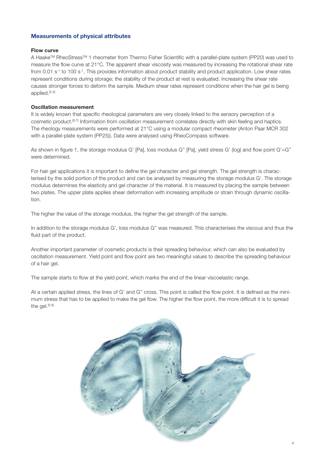# **Measurements of physical attributes**

#### **Flow curve**

A Haake™ RheoStress™ 1 rheometer from Thermo Fisher Scientific with a parallel-plate system (PP20) was used to measure the flow curve at 21°C. The apparent shear viscosity was measured by increasing the rotational shear rate from 0.01 s<sup>-1</sup> to 100 s<sup>-1</sup>. This provides information about product stability and product application. Low shear rates represent conditions during storage; the stability of the product at rest is evaluated. Increasing the shear rate causes stronger forces to deform the sample. Medium shear rates represent conditions when the hair gel is being applied. [4,5]

# **Oscillation measurement**

It is widely known that specific rheological parameters are very closely linked to the sensory perception of a cosmetic product. [6,7] Information from oscillation measurement correlates directly with skin feeling and haptics. The rheology measurements were performed at 21°C using a modular compact rheometer (Anton Paar MCR 302 with a parallel-plate system (PP25)). Data were analysed using RheoCompass software.

As shown in figure 1, the storage modulus G' [Pa], loss modulus G'' [Pa], yield stress G' (log) and flow point G'=G'' were determined.

For hair gel applications it is important to define the gel character and gel strength. The gel strength is characterised by the solid portion of the product and can be analysed by measuring the storage modulus G'. The storage modulus determines the elasticity and gel character of the material. It is measured by placing the sample between two plates. The upper plate applies shear deformation with increasing amplitude or strain through dynamic oscillation.

The higher the value of the storage modulus, the higher the gel strength of the sample.

In addition to the storage modulus G', loss modulus G'' was measured. This characterises the viscous and thus the fluid part of the product.

Another important parameter of cosmetic products is their spreading behaviour, which can also be evaluated by oscillation measurement. Yield point and flow point are two meaningful values to describe the spreading behaviour of a hair gel.

The sample starts to flow at the yield point, which marks the end of the linear viscoelastic range.

At a certain applied stress, the lines of G' and G'' cross. This point is called the flow point. It is defined as the minimum stress that has to be applied to make the gel flow. The higher the flow point, the more difficult it is to spread the gel.<sup>[5,8]</sup>

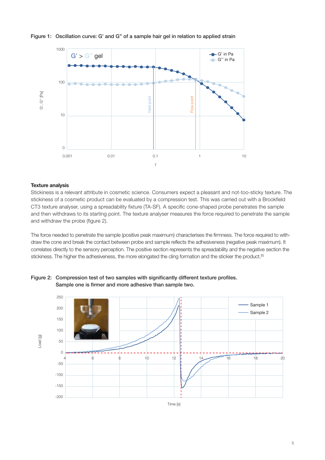

# Figure 1: Oscillation curve: G' and G'' of a sample hair gel in relation to applied strain

#### **Texture analysis**

Stickiness is a relevant attribute in cosmetic science. Consumers expect a pleasant and not-too-sticky texture. The stickiness of a cosmetic product can be evaluated by a compression test. This was carried out with a Brookfield CT3 texture analyser, using a spreadability fixture (TA-SF). A specific cone-shaped probe penetrates the sample and then withdraws to its starting point. The texture analyser measures the force required to penetrate the sample and withdraw the probe (figure 2).

The force needed to penetrate the sample (positive peak maximum) characterises the firmness. The force required to withdraw the cone and break the contact between probe and sample reflects the adhesiveness (negative peak maximum). It correlates directly to the sensory perception. The positive section represents the spreadability and the negative section the stickiness. The higher the adhesiveness, the more elongated the cling formation and the stickier the product.<sup>[5</sup>



Figure 2: Compression test of two samples with significantly different texture profiles. Sample one is firmer and more adhesive than sample two.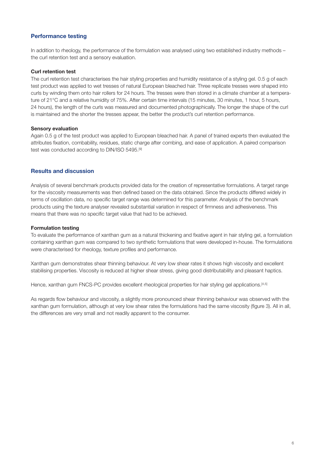# **Performance testing**

In addition to rheology, the performance of the formulation was analysed using two established industry methods – the curl retention test and a sensory evaluation.

#### **Curl retention test**

The curl retention test characterises the hair styling properties and humidity resistance of a styling gel. 0.5 g of each test product was applied to wet tresses of natural European bleached hair. Three replicate tresses were shaped into curls by winding them onto hair rollers for 24 hours. The tresses were then stored in a climate chamber at a temperature of 21°C and a relative humidity of 75%. After certain time intervals (15 minutes, 30 minutes, 1 hour, 5 hours, 24 hours), the length of the curls was measured and documented photographically. The longer the shape of the curl is maintained and the shorter the tresses appear, the better the product's curl retention performance.

#### **Sensory evaluation**

Again 0.5 g of the test product was applied to European bleached hair. A panel of trained experts then evaluated the attributes fixation, combability, residues, static charge after combing, and ease of application. A paired comparison test was conducted according to DIN/ISO 5495.<sup>[9]</sup>

#### **Results and discussion**

Analysis of several benchmark products provided data for the creation of representative formulations. A target range for the viscosity measurements was then defined based on the data obtained. Since the products differed widely in terms of oscillation data, no specific target range was determined for this parameter. Analysis of the benchmark products using the texture analyser revealed substantial variation in respect of firmness and adhesiveness. This means that there was no specific target value that had to be achieved.

#### **Formulation testing**

To evaluate the performance of xanthan gum as a natural thickening and fixative agent in hair styling gel, a formulation containing xanthan gum was compared to two synthetic formulations that were developed in-house. The formulations were characterised for rheology, texture profiles and performance.

Xanthan gum demonstrates shear thinning behaviour. At very low shear rates it shows high viscosity and excellent stabilising properties. Viscosity is reduced at higher shear stress, giving good distributability and pleasant haptics.

Hence, xanthan gum FNCS-PC provides excellent rheological properties for hair styling gel applications.<sup>[4,5]</sup>

As regards flow behaviour and viscosity, a slightly more pronounced shear thinning behaviour was observed with the xanthan gum formulation, although at very low shear rates the formulations had the same viscosity (figure 3). All in all, the differences are very small and not readily apparent to the consumer.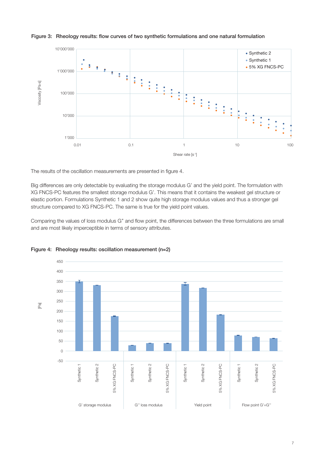

# Figure 3: Rheology results: flow curves of two synthetic formulations and one natural formulation

The results of the oscillation measurements are presented in figure 4.

Big differences are only detectable by evaluating the storage modulus G' and the yield point. The formulation with XG FNCS-PC features the smallest storage modulus G'. This means that it contains the weakest gel structure or elastic portion. Formulations Synthetic 1 and 2 show quite high storage modulus values and thus a stronger gel structure compared to XG FNCS-PC. The same is true for the yield point values.

Comparing the values of loss modulus G'' and flow point, the differences between the three formulations are small and are most likely imperceptible in terms of sensory attributes.



Figure 4: Rheology results: oscillation measurement (n=2)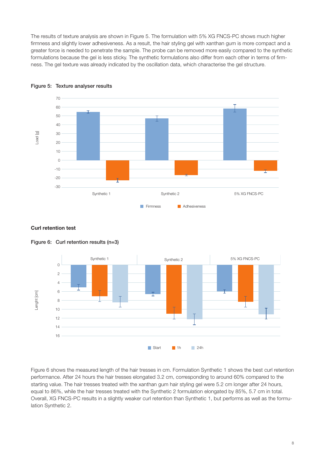The results of texture analysis are shown in Figure 5. The formulation with 5% XG FNCS-PC shows much higher firmness and slightly lower adhesiveness. As a result, the hair styling gel with xanthan gum is more compact and a greater force is needed to penetrate the sample. The probe can be removed more easily compared to the synthetic formulations because the gel is less sticky. The synthetic formulations also differ from each other in terms of firmness. The gel texture was already indicated by the oscillation data, which characterise the gel structure.



#### Figure 5: Texture analyser results

#### **Curl retention test**





Figure 6 shows the measured length of the hair tresses in cm. Formulation Synthetic 1 shows the best curl retention performance. After 24 hours the hair tresses elongated 3.2 cm, corresponding to around 60% compared to the starting value. The hair tresses treated with the xanthan gum hair styling gel were 5.2 cm longer after 24 hours, equal to 86%, while the hair tresses treated with the Synthetic 2 formulation elongated by 85%, 5.7 cm in total. Overall, XG FNCS-PC results in a slightly weaker curl retention than Synthetic 1, but performs as well as the formulation Synthetic 2.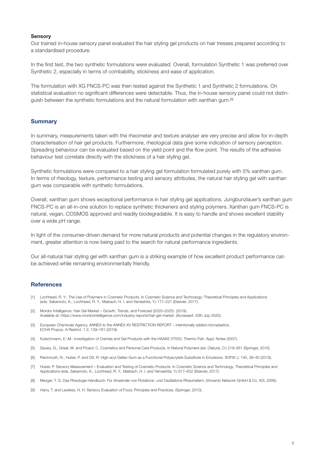#### **Sensory**

Our trained in-house sensory panel evaluated the hair styling gel products on hair tresses prepared according to a standardised procedure.

In the first test, the two synthetic formulations were evaluated. Overall, formulation Synthetic 1 was preferred over Synthetic 2, especially in terms of combability, stickiness and ease of application.

The formulation with XG FNCS-PC was then tested against the Synthetic 1 and Synthetic 2 formulations. On statistical evaluation no significant differences were detectable. Thus, the in-house sensory panel could not distinguish between the synthetic formulations and the natural formulation with xanthan gum.<sup>[9]</sup>

# **Summary**

In summary, measurements taken with the rheometer and texture analyser are very precise and allow for in-depth characterisation of hair gel products. Furthermore, rheological data give some indication of sensory perception. Spreading behaviour can be evaluated based on the yield point and the flow point. The results of the adhesive behaviour test correlate directly with the stickiness of a hair styling gel.

Synthetic formulations were compared to a hair styling gel formulation formulated purely with 5% xanthan gum. In terms of rheology, texture, performance testing and sensory attributes, the natural hair styling gel with xanthan gum was comparable with synthetic formulations.

Overall, xanthan gum shows exceptional performance in hair styling gel applications. Jungbunzlauer's xanthan gum FNCS-PC is an all-in-one solution to replace synthetic thickeners and styling polymers. Xanthan gum FNCS-PC is natural, vegan, COSMOS approved and readily biodegradable. It is easy to handle and shows excellent stability over a wide pH range.

In light of the consumer-driven demand for more natural products and potential changes in the regulatory environment, greater attention is now being paid to the search for natural performance ingredients.

Our all-natural hair styling gel with xanthan gum is a striking example of how excellent product performance can be achieved while remaining environmentally friendly.

# **References**

- [1] Lochhead, R. Y.: The Use of Polymers in Cosmetic Products. In Cosmetic Science and Technology: Theoretical Principles and Applications (eds. Sakamoto, K., Lochhead, R. Y., Maibach, H. I. and Yamashita, Y.) 171–221 (Elsevier, 2017).
- [2] Mordor Intelligence. Hair Gel Market Growth, Trends, and Forecast (2020–2025). (2019). Available at: https://www.mordorintelligence.com/industry-reports/hair-gel-market. (Accessed: 20th July 2020).
- [3] European Chemicals Agency. ANNEX to the ANNEX XV RESTRICTION REPORT intentionally added microplastics. ECHA Propos. A Restrict. 1.2, 139–181 (2019).
- [4] Kutschmann, E.-M.: Investigation of Cremes and Gel Products with the HAAKE VT550. Thermo Fish. Appl. Notes (2007).
- [5] Savary, G., Grisel, M. and Picard, C. Cosmetics and Personal Care Products. In Natural Polymers (ed. Olatunji, O.) 219–261 (Springer, 2016).
- [6] Reichmuth, N., Huber, P. and Ott, R. High-acyl Gellan Gum as a Functional Polyacrylate Substitute in Emulsions. SOFW J. 145, 36–40 (2019).
- [7] Huber, P. Sensory Measurement Evaluation and Testing of Cosmetic Products. In Cosmetic Science and Technology: Theoretical Principles and Applications (eds. Sakamoto, K., Lochhead, R. Y., Maibach, H. I. and Yamashita, Y.) 617–632 (Elsevier, 2017).
- [8] Mezger, T. G. Das Rheologie Handbuch: Für Anwender von Rotations- und Oszillations-Rheometern. (Vincentz Network GmbH & Co. KG, 2006).
- [9] Harry, T. and Lawless, H. H. Sensory Evaluation of Food, Principles and Practices. (Springer, 2010).